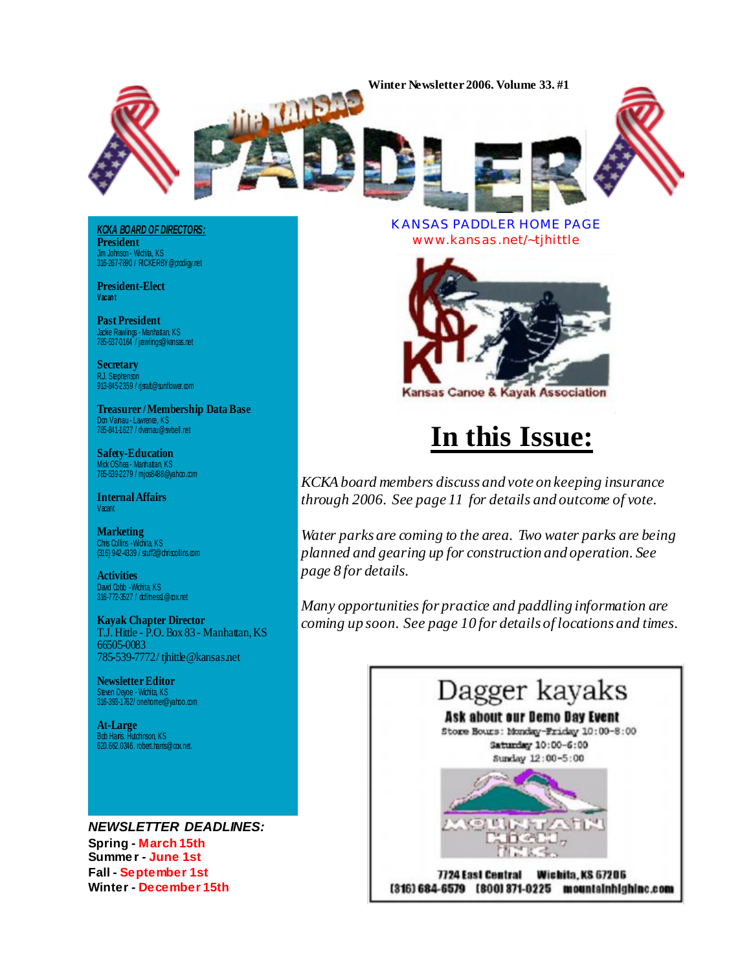**Winter Newsletter 2006, Volume 33, #1**

*KCKA BOARD OF DIRECTORS:* **President** Jim Johnson - Wichita, KS 316-267-7890 / [RICKERBY@prodigy.net](mailto:RICKERBY@prodigy.net)

**AND** 

**President-Elect Vacan t**

**Past President** Jackie Rawlings - Manhattan, KS 785-537-0164 / [jrawlings@kansas.net](mailto:jrawlings@kansas.net)

**Secretary** RJ. Stephenson<br>913-845-2359 / [rjsraft@sunflower.com](mailto:rjsraft@sunflower.com)

**Treasurer / Membership Data Base** Don Varnau - Lawrence, KS 785-841-1627 / [dvarnau@swbell.net](mailto:dvarnau@swbell.net)

**Safety-Education** Mick O'Shea - Manhattan, KS 785-539-2279 / [mjos8488@yahoo.com](mailto:mjos8488@yahoo.com)

**Internal Affairs Vacant** 

**Marketing** Chris Collins -Wichita, K.S<br>(316) 942-4339 / [stuff2@chriscollins.com](mailto:stuff2@chriscollins.com)

**Activities** David Cobb - Wichita, KS 316-772-3527 / [dcfitness1@cox.net](mailto:dcfitness1@cox.net)

**Kayak Chapter Director** T.J. Hittle - P.O. Box 83 - Manhattan, KS 66505-0083 785-539-7772 / [tjhittle@kansas.net](mailto:tjhittle@kansas.net)

**Newsletter Editor** Steven Deyoe - Wichita, KS 316-393-1762/ [onehomer@yahoo.com](mailto:onehomer@yahoo.com)

**At-Large** Bob Harris. Hutchinson, KS 620.662.0346. [robert.harris@cox.net.](mailto:robert.harris@cox.net)

*NEWSLETTER DEADLINES:* **Spring - March 15th Summe r - June 1st Fall - September 1st Winter - December 15th**

KANSAS PADDLER HOME PAGE [www.kansas.net/~tjhittle](http://www.kansas.net/~tjhittle)



## **In this Issue:**

*KCKA board members discuss and vote on keeping insurance through 2006. See page 11 for details and outcome of vote.*

*Water parks are coming to the area. Two water parks are being planned and gearing up for construction and operation. See page 8 for details.*

*Many opportunities for practice and paddling information are coming up soon. See page 10 for details of locations and times.*

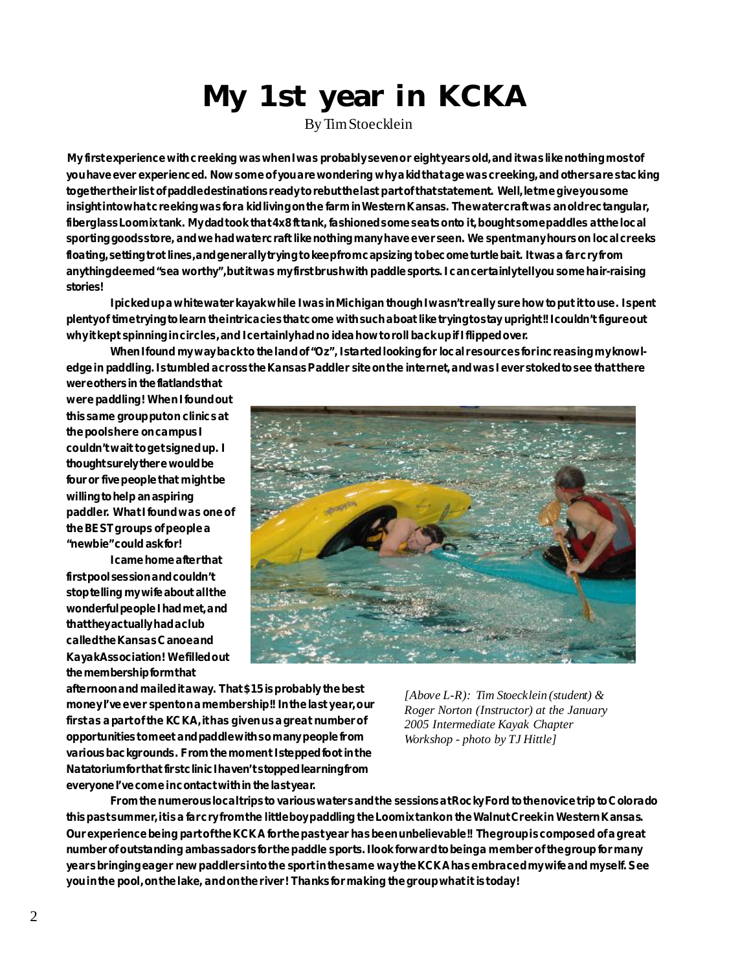# **My 1st year in KCKA**

By Tim Stoecklein

 **My first experience with creeking was when I was probably seven or eight years old, and it was like nothing most of you have ever experienced. Now some of you are wondering why a kid that age was creeking, and others are stacking together their list of paddle destinations ready to rebut the last part of that statement. Well, let me give you some insight into what creeking was for a kid living on the farm in Western Kansas. The watercraft was an old rectangular, fiberglass Loomix tank. My dad took that 4x8 ft tank, fashioned some seats onto it, bought some paddles at the local sporting goods store, and we had watercraft like nothing many have ever seen. We spent many hours on local creeks floating, setting trot lines, and generally trying to keep from capsizing to become turtle bait. It was a far cry from anything deemed "sea worthy", but it was my first brush with paddle sports. I can certainly tell you some hair-raising stories!**

**I picked up a whitewater kayak while I was in Michigan though I wasn't really sure how to put it to use. I spent plenty of time trying to learn the intricacies that come with such a boat like trying to stay upright!! I couldn't figure out why it kept spinning in circles, and I certainly had no idea how to roll back up if I flipped over.**

When I found my way back to the land of "Oz", I started looking for local resources for increasing my knowl**edge in paddling. I stumbled across the Kansas Paddler site on the internet, and was I ever stoked to see that there were others in the flatlands that**

**were paddling! When I found out this same group put on clinics at the pools here on campus I couldn't wait to get signed up. I thought surely there would be four or five people that might be willing to help an aspiring paddler. What I found was one of the BEST groups of people a "newbie" could ask for!**

**I came home after that first pool session and couldn't stop telling my wife about all the wonderful people I had met, and that they actually had a club called the Kansas Canoe and Kayak Association! We filled out the membership form that**



**afternoon and mailed it away. That \$15 is probably the best** money I've ever spent on a member ship!! In the last year, our **first as a part of the KCKA, it has given us a great number of opportunities to meet and paddle with so many people from various backgrounds. From the moment I stepped foot in the Natatorium for that first clinic I haven't stopped learning from everyone I've come in contact with in the last year.**

*[Above L-R): Tim Stoecklein (student) & Roger Norton (Instructor) at the January 2005 Intermediate Kayak Chapter Workshop - photo by TJ Hittle]*

**From the numerous local trips to various waters and the sessions at Rocky Ford to the novice trip to Colorado this past summer, it is a far cry from the little boy paddling the Loomix tank on the Walnut Creek in Western Kansas. Our experience being part of the KCKA for the past year has been unbelievable!! The group is composed of a great number of outstanding ambassadors for the paddle sports. I look forward to being a member of the group for many years bringing eager new paddlers into the sport in the same way the KCKA has embraced my wife and myself. See you in the pool, on the lake, and on the river! Thanks for making the group what it is today!**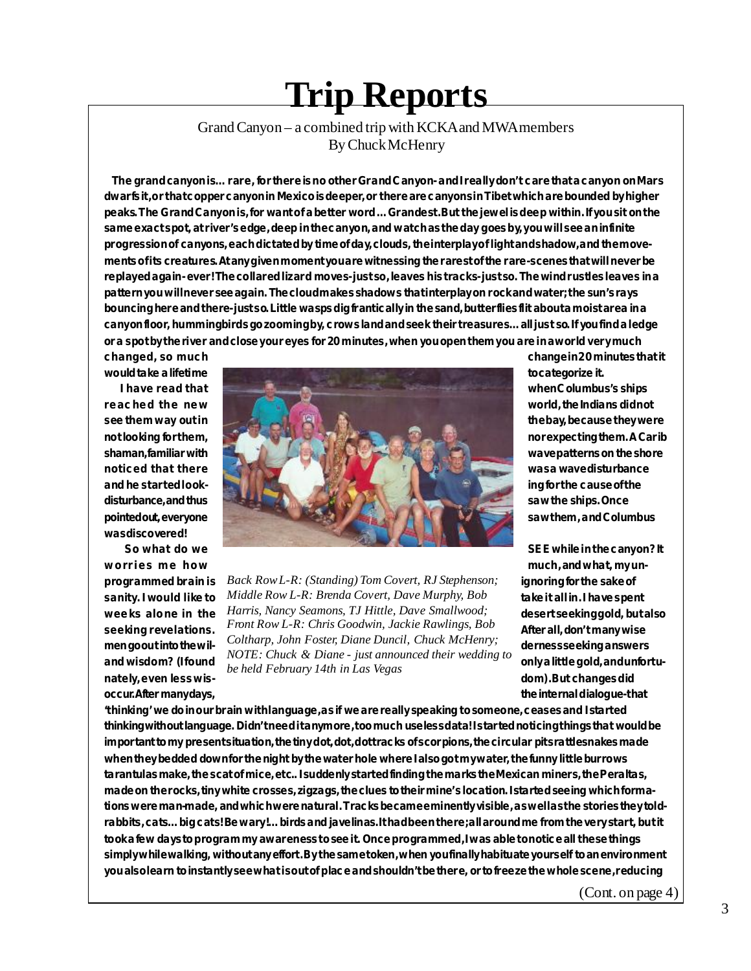# **Trip Reports**

#### Grand Canyon – a combined trip with KCKA and MWA members By Chuck McHenry

 **The grand canyon is… rare, for there is no other Grand Canyon- and I really don't care that a canyon on Mars dwarfs it, or that copper canyon in Mexico is deeper, or there are canyons in Tibet which are bounded by higher peaks. The Grand Canyon is, for want of a better word … Grandest. But the jewel is deep within. If you sit on the same exact spot, at river's edge, deep in the canyon, and watch as the day goes by, you will see an infinite progression of canyons, each dictated by time of day, clouds, the interplay of light and shadow, and the movements of its creatures. At any given moment you are witnessing the rarest of the rare- scenes that will never be replayed again- ever! The collared lizard moves- just so, leaves his tracks- just so. The wind rustles leaves in a pattern you will never see again. The cloud makes shadows that interplay on rock and water; the sun's rays bouncing here and there- just so. Little wasps dig frantically in the sand, butterflies flit about a moist area in a canyon floor, hummingbirds go zooming by, crows land and seek their treasures… all just so. If you find a ledge or a spot by the river and close your eyes for 20 minutes, when you open them you are in a world very much**

**was discovered!**



programmed brain is  $Back Row L-R: (Standing) Tom Covert, RJ Stephenson;$  ignoring for the sake of sanity. I would like to *Middle Row L-R: Brenda Covert, Dave Murphy, Bob* take it all in. I have spent weeks alone in the *Harris, Nancy Seamons, TJ Hittle, Dave Smallwood;* desert seeking gold, but also **seeking revelations. After all, don't many wise** *Front Row L-R: Chris Goodwin, Jackie Rawlings, Bob* **men goout into the wil-** *Coltharp, John Foster, Diane Duncil, Chuck McHenry;* derness seeking answers and wisdom? (I found *but a little gold, and wisdom*? (I found by a little gold, and unfortu**nately, even less wis- dom). But changes did** *NOTE: Chuck & Diane - just announced their wedding to be held February 14th in Las Vegas*

**changed, so much changed, so much changed**, so much **changed in 20 minutes that it** 

**worries me how much**, and what, my un**occur. After many days, the internal dialogue- that**

**'thinking' we do in our brain with language, as if we are really speaking to someone, ceases and I started thinking without language. Didn't need it anymore, too much useless data! I started noticing things that would be important to my present situation, the tiny dot, dot, dot tracks of scorpions, the circular pits rattlesnakes made** when they bedded down for the night by the water hole where I also got my water, the funny little burrows **tarantulas make, the scat of mice, etc.. I suddenly started finding the marks the Mexican miners, the Peraltas, made on the rocks, tiny white crosses, zigzags, the clues to their mine's location. I started seeing which formations were man-made, and which were natural. Tracks became eminently visible, as well as the stories they toldrabbits, cats… big cats! Be wary!… birds and javelinas. It had been there; all around me from the very start, but it took a few days to program my awareness to see it. Once programmed, I was able to notice all these things simply while walking, without any effort. By the same token, when you finally habituate yourself to an environment you also learn to instantly see what is out of place and shouldn't be there, or to freeze the whole scene, reducing**

(Cont. on page 4)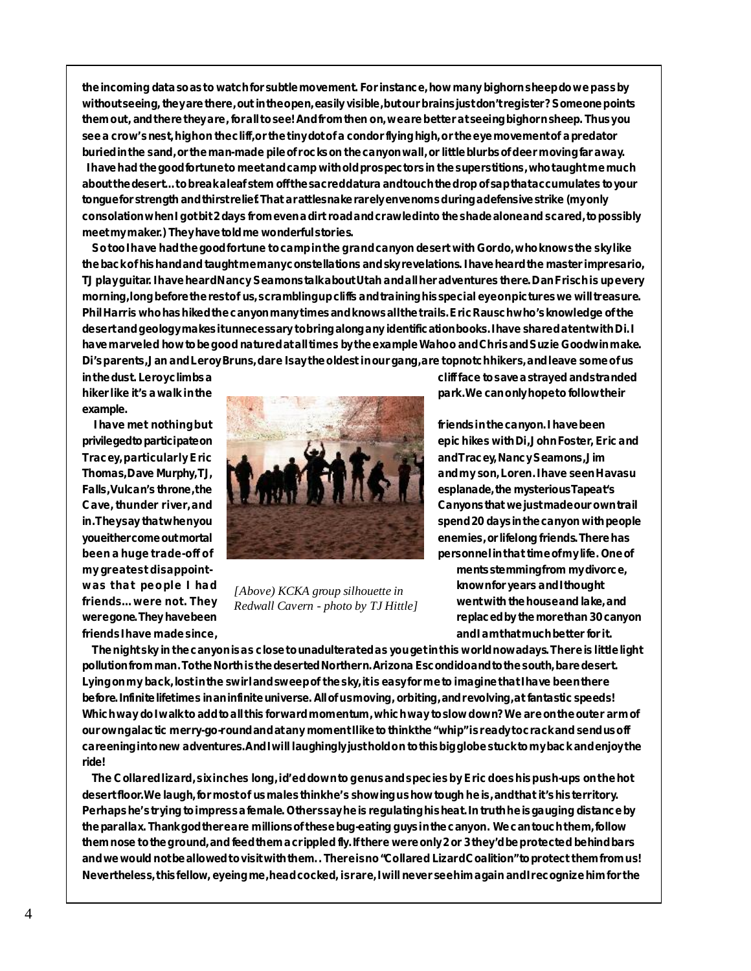**the incoming data so as to watch for subtle movement. For instance, how many bighorn sheep do we pass by without seeing, they are there, out in the open, easily visible, but our brains just don't register? Someone points them out, and there they are, for all to see! And from then on, we are better at seeing bighorn sheep. Thus you** see a crow's nest, highon the cliff, or the tiny dot of a condor flying high, or the eye movement of a predator **buried in the sand, or the man-made pile of rocks on the canyon wall, or little blurbs of deer moving far away. I have had the good fortune to meet and camp with old prospectors in the superstitions, who taught me much about the desert… to break a leaf stem off the sacred datura and touch the drop of sap that accumulates to your tongue for strength and thirst relief. That a rattlesnake rarely envenoms during a defensive strike (my only consolation when I got bit 2 days from even a dirt road and crawled into the shade alone and scared, to possibly meet my maker.) They have told me wonderful stories.**

 **So too I have had the good fortune to camp in the grand canyon desert with Gordo, who knows the sky like the back of his hand and taught me many constellations and sky revelations. I have heard the master impresario, TJ play guitar. I have heard Nancy Seamons talk about Utah and all her adventures there. Dan Frisch is up every morning, long before the rest of us, scrambling up cliffs and training his special eye on pictures we will treasure. Phil Harris who has hiked the canyon many times and knows all the trails. Eric Rausch who's knowledge of the desert and geology makes it unnecessary to bring along any identification books. I have shared a tent with Di. I have marveled how to be good natured at all times by the example Wahoo and Chris and Suzie Goodwin make. Di's parents, Jan and Leroy Bruns, dare I say the oldest in our gang, are topnotch hikers, and leave some of us**

**example.**



*[Above) KCKA group silhouette in Redwall Cavern - photo by TJ Hittle]*

**in the dust. Leroy climbs a cliff face to save a strayed and stranded**

**my greatest disappoint- ments stemming from my divorce,** was that people I had  $\mu_{\text{flow}}(KKA)$  *was* in the known for years and I thought friends… were not. They  $P_{addual}$  *Covers*  $P_{total}$  *went with the house and lake, and* **were gone. They have been replaced by the more than 30 canyon friends I have made since, and I am that much better for it.**

 **The night sky in the canyon is as close to unadulterated as you get in this world nowadays. There is little light pollution from man. To the North is the deserted Northern. Arizona Escondido and to the south, bare desert. Lying on my back, lost in the swirl and sweep of the sky, it is easy for me to imagine that I have been there before. Infinite lifetimes in an infinite universe. All of us moving, orbiting, and revolving, at fantastic speeds! Which way do I walk to add to all this forward momentum, which way to slow down? We are on the outer arm of our own galactic merry-go-round and at any moment I like to think the "whip" is ready to crack and send us off careening into new adventures. And I will laughingly just hold on to this big globe stuck to my back and enjoy the ride!**

 **The Collared lizard, six inches long, id'ed down to genus and species by Eric does his push-ups on the hot desert floor. We laugh, for most of us males think he's showing us how tough he is, and that it's his territory. Perhaps he's trying to impress a female. Others say he is regulating his heat. In truth he is gauging distance by the parallax. Thank god there are millions of these bug-eating guys in the canyon. We can touch them, follow them nose to the ground, and feed them a crippled fly. If there were only 2 or 3 they'd be protected behind bars and we would not be allowed to visit with them. . There is no "Collared Lizard Coalition" to protect them from us! Nevertheless, this fellow, eyeing me, head cocked, is rare, I will never see him again and I recognize him for the**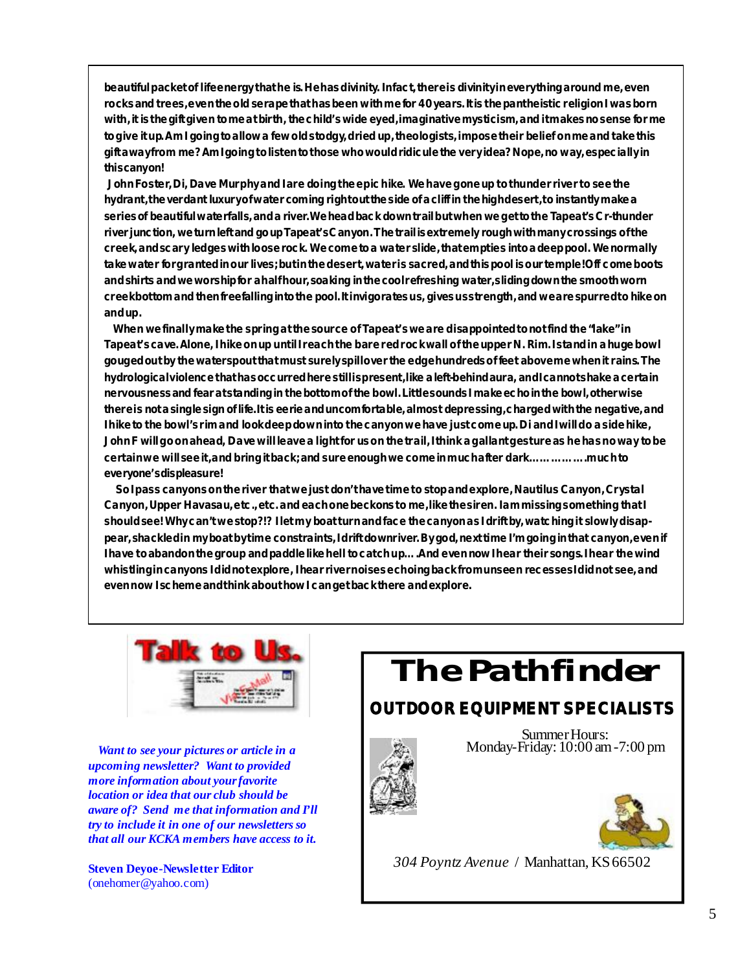**beautiful packet of life energy that he is. He has divinity. In fact, there is divinity in everything around me, even rocks and trees, even the old serape that has been with me for 40 years. It is the pantheistic religion I was born with, it is the gift given to me at birth, the child's wide eyed, imaginative mysticism, and it makes no sense for me to give it up. Am I going to allow a few old stodgy, dried up, theologists, impose their belief on me and take this gift away from me? Am I going to listen to those who would ridicule the very idea? Nope, no way, especially in this canyon!**

 **John Foster, Di, Dave Murphy and I are doing the epic hike. We have gone up to thunder river to see the hydrant, the verdant luxury of water coming right out the side of a cliff in the high desert, to instantly make a series of beautiful waterfalls, and a river. We head back down trail but when we get to the Tapeat's Cr-thunder river junction, we turn left and go up Tapeat's Canyon. The trail is extremely rough with many crossings of the creek, and scary ledges with loose rock. We come to a water slide, that empties into a deep pool. We normally take water for granted in our lives; but in the desert, water is sacred, and this pool is our temple! Off come boots and shirts and we worship for a half hour, soaking in the cool refreshing water, sliding down the smooth worn creek bottom and then freefalling into the pool. It invigorates us, gives us strength, and we are spurred to hike on and up.**

 **When we finally make the spring at the source of Tapeat's we are disappointed to not find the "lake" in Tapeat's cave. Alone, I hike on up until I reach the bare red rock wall of the upper N. Rim. I stand in a huge bowl gouged out by the waterspout that must surely spill over the edge hundreds of feet above me when it rains. The hydrological violence that has occurred here still is present, like a left-behind aura, and I cannot shake a certain nervousness and fear at standing in the bottom of the bowl. Little sounds I make echo in the bowl, otherwise there is not a single sign of life. It is eerie and uncomfortable, almost depressing, charged with the negative, and I hike to the bowl's rim and look deep down into the canyon we have just come up. Di and I will do a side hike, John F will go on ahead, Dave will leave a light for us on the trail, I think a gallant gesture as he has no way to be certain we will see it, and bring it back; and sure enough we come in much after dark… … … … … .much to everyone's displeasure!**

 **So I pass canyons on the river that we just don't have time to stop and explore, Nautilus Canyon, Crystal Canyon, Upper Havasau, etc., etc. and each one beckons to me, like the siren. I am missing something that I should see! Why can't we stop?!? I let my boat turn and face the canyon as I drift by, watching it slowly disappear, shackled in my boat by time constraints, I drift downriver. By god, next time I'm going in that canyon, even if I have to abandon the group and paddle like hell to catch up… .And even now I hear their songs. I hear the wind whistling in canyons I did not explore, I hear river noises echoing back from unseen recesses I did not see, and even now I scheme and think about how I can get back there and explore.**



 *Want to see your pictures or article in a upcoming newsletter? Want to provided more information about your favorite location or idea that our club should be aware of? Send me that information and I'll try to include it in one of our newsletters so that all our KCKA members have access to it.*

**Steven Deyoe-Newsletter Editor** ([onehomer@yahoo.com\)](mailto:onehomer@yahoo.com)

*The Pathfinder*

### **OUTDOOR EQUIPMENT SPECIALISTS**



Summer Hours: Monday-Friday: 10:00 am -7:00 pm



*304 Poyntz Avenue* / Manhattan, KS 66502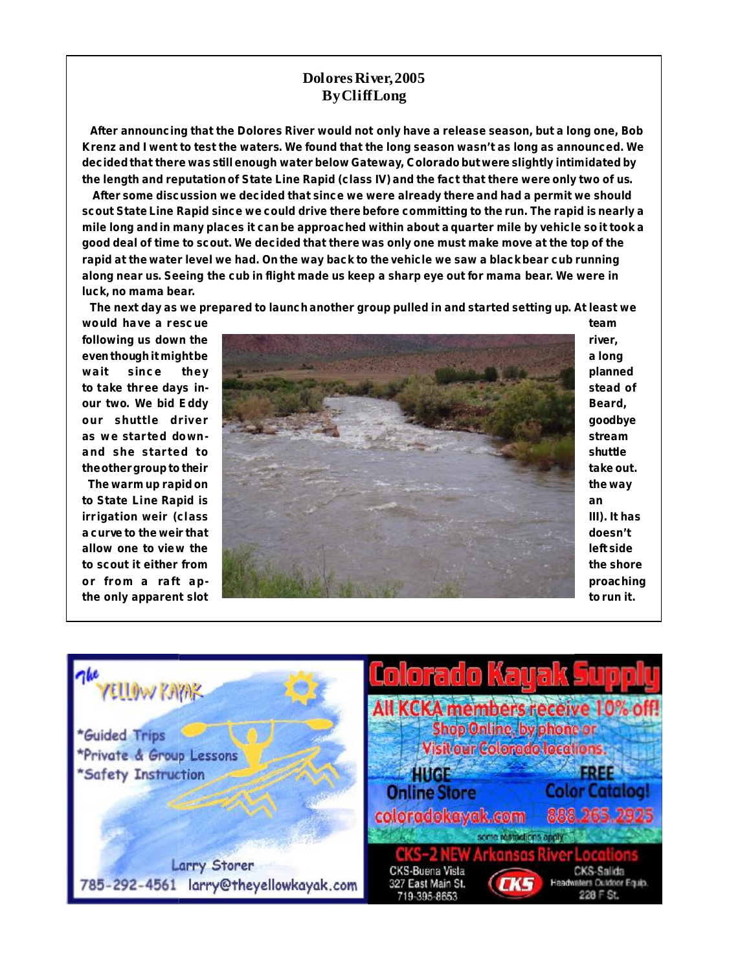#### **Dolores River, 2005 By Cliff Long**

 **After announcing that the Dolores River would not only have a release season, but a long one, Bob Krenz and I went to test the waters. We found that the long season wasn't as long as announced. We decided that there was still enough water below Gateway, Colorado but were slightly intimidated by the length and reputation of State Line Rapid (class IV) and the fact that there were only two of us.**

 **After some discussion we decided that since we were already there and had a permit we should scout State Line Rapid since we could drive there before committing to the run. The rapid is nearly a mile long and in many places it can be approached within about a quarter mile by vehicle so it took a good deal of time to scout. We decided that there was only one must make move at the top of the rapid at the water level we had. On the way back to the vehicle we saw a black bear cub running along near us. Seeing the cub in flight made us keep a sharp eye out for mama bear. We were in luck, no mama bear.**

 **The next day as we prepared to launch another group pulled in and started setting up. At least we**



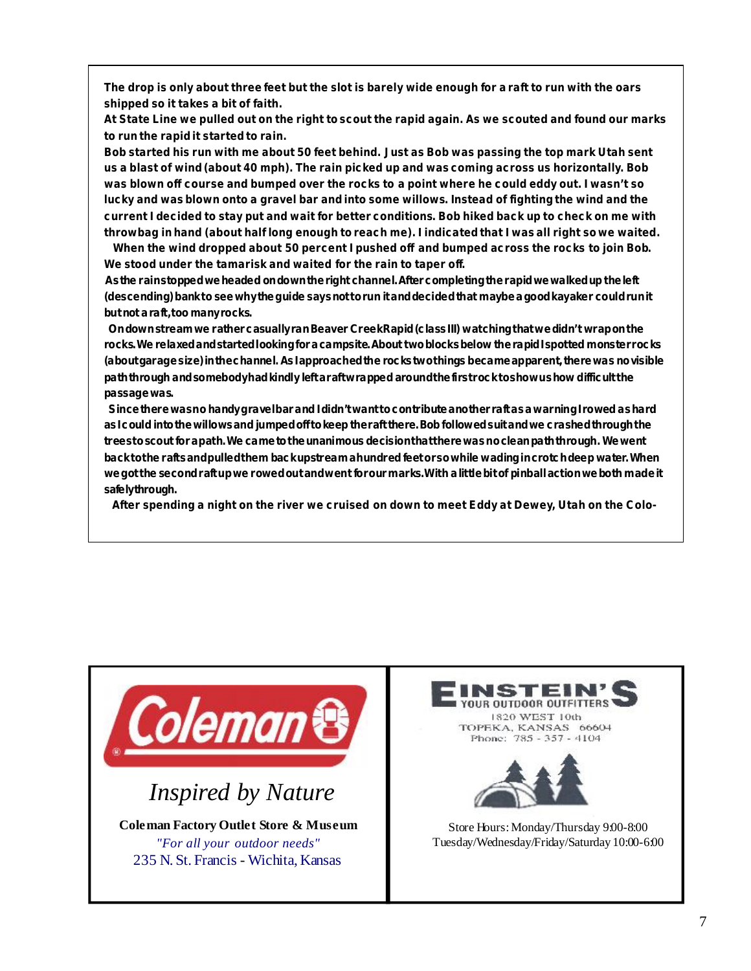**The drop is only about three feet but the slot is barely wide enough for a raft to run with the oars shipped so it takes a bit of faith.**

**At State Line we pulled out on the right to scout the rapid again. As we scouted and found our marks to run the rapid it started to rain.**

**Bob started his run with me about 50 feet behind. Just as Bob was passing the top mark Utah sent us a blast of wind (about 40 mph). The rain picked up and was coming across us horizontally. Bob was blown off course and bumped over the rocks to a point where he could eddy out. I wasn't so lucky and was blown onto a gravel bar and into some willows. Instead of fighting the wind and the current I decided to stay put and wait for better conditions. Bob hiked back up to check on me with throwbag in hand (about half long enough to reach me). I indicated that I was all right so we waited.**

 **When the wind dropped about 50 percent I pushed off and bumped across the rocks to join Bob. We stood under the tamarisk and waited for the rain to taper off.**

 **As the rain stopped we headed on down the right channel. After completing the rapid we walked up the left (descending) bank to see why the guide says not to run it and decided that maybe a good kayaker could run it but not a raft, too many rocks.**

 **On down stream we rather casually ran Beaver Creek Rapid (class III) watching that we didn't wrap on the rocks. We relaxed and started looking for a campsite. About two blocks below the rapid I spotted monster rocks (about garage size) in the channel. As I approached the rocks two things became apparent, there was no visible path through and somebody had kindly left a raft wrapped around the first rock to show us how difficult the passage was.**

 **Since there was no handy gravel bar and I didn't want to contribute another raft as a warning I rowed as hard as I could into the willows and jumped off to keep the raft there. Bob followed suit and we crashed through the trees to scout for a path. We came to the unanimous decision that there was no clean path through. We went back to the rafts and pulled them back upstream a hundred feet or so while wading in crotch deep water. When we got the second raft up we rowed out and went for our marks. With a little bit of pinball action we both made it safely through.**

 **After spending a night on the river we cruised on down to meet Eddy at Dewey, Utah on the Colo-**



NSTEIN **OUR OUTDOOR OUTFITTERS** 1820 WEST 10th TOPEKA, KANSAS 66604 Phone: 785 - 357 - 4104



Store Hours: Monday/Thursday 9:00-8:00 Tuesday/Wednesday/Friday/Saturday 10:00-6:00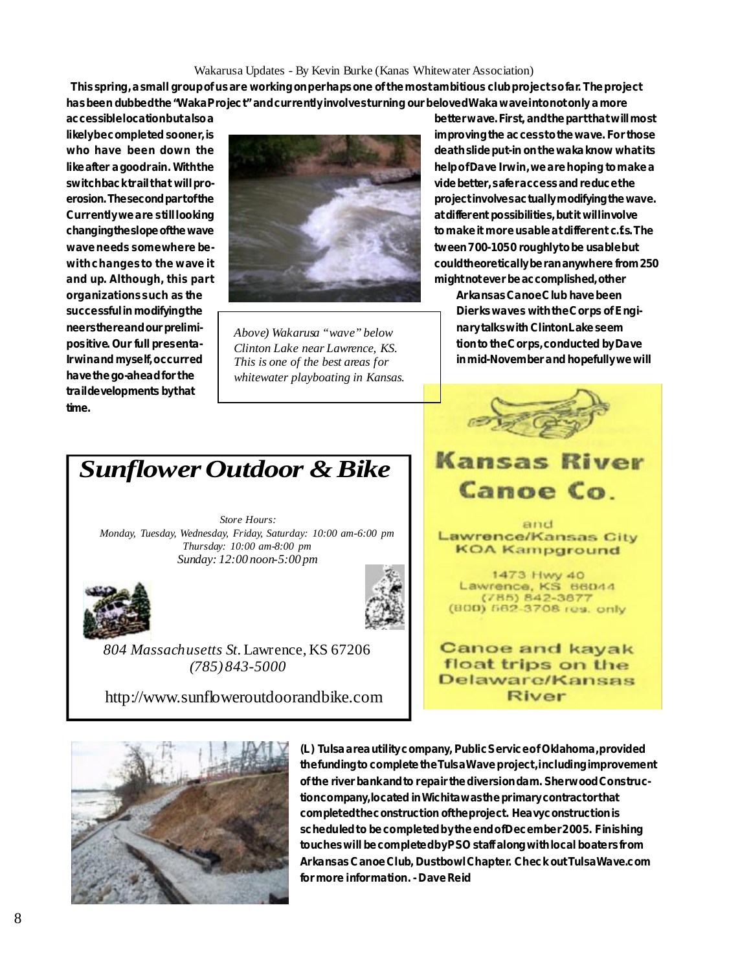#### Wakarusa Updates - By Kevin Burke (Kanas Whitewater Association)

 **This spring, a small group of us are working on perhaps one of the most ambitious club project so far. The project has been dubbed the "Waka Project" and currently involves turning our beloved Waka wave into not only a more**

**have the go-ahead for the trail developments by that time.**



*Above) Wakarusa "wave" below Clinton Lake near Lawrence, KS. This is one of the best areas for whitewater playboating in Kansas.*

**accessible location but also a better wave. First, and the part that will most erosion. The second part of the second part of the second part of the second part of the second part of the second part of the second part of the second part of the second part of the second part of the second part of the with changes to the wave it could theoretically be ran anywhere from 250** 

successful in modifying the **corps of Engi-** Dierks waves with the Corps of Engi**neers there and our prelimi- nary talks with Clinton Lake seem** positive. Our full presenta- **the Corps** is the time of the Corps, conducted by Dave **Irwin and myself, occurred** This is one of the best areas for **in mid-November and hopefully** we will



## **Kansas River** Canoe Co.

and Lawrence/Kansas City **KOA Kampground** 

1473 Hwy 40 Lawrence, KS 66044 (785) 842-3877 (800) 562-3708 res. only

**Canoe and kayak** float trips on the Delaware/Kansas **River** 



*Store Hours: Monday, Tuesday, Wednesday, Friday, Saturday: 10:00 am-6:00 pm Thursday: 10:00 am-8:00 pm Sunday: 12:00 noon-5:00 pm*





*804 Massachusetts St.* Lawrence, KS 67206 *(785) 843-5000*

<http://www.sunfloweroutdoorandbike.com>



**(L) Tulsa area utility company, Public Service of Oklahoma, provided the funding to complete the Tulsa Wave project, including improvement of the river bank and to repair the diversion dam. Sherwood Construction company, located in Wichita was the primary contractor that completed the construction of the project. Heavy construction is scheduled to be completed by the end of December 2005. Finishing touches will be completed by PSO staff along with local boaters from Arkansas Canoe Club, Dustbowl Chapter. Check out TulsaWave.com for more information. - Dave Reid**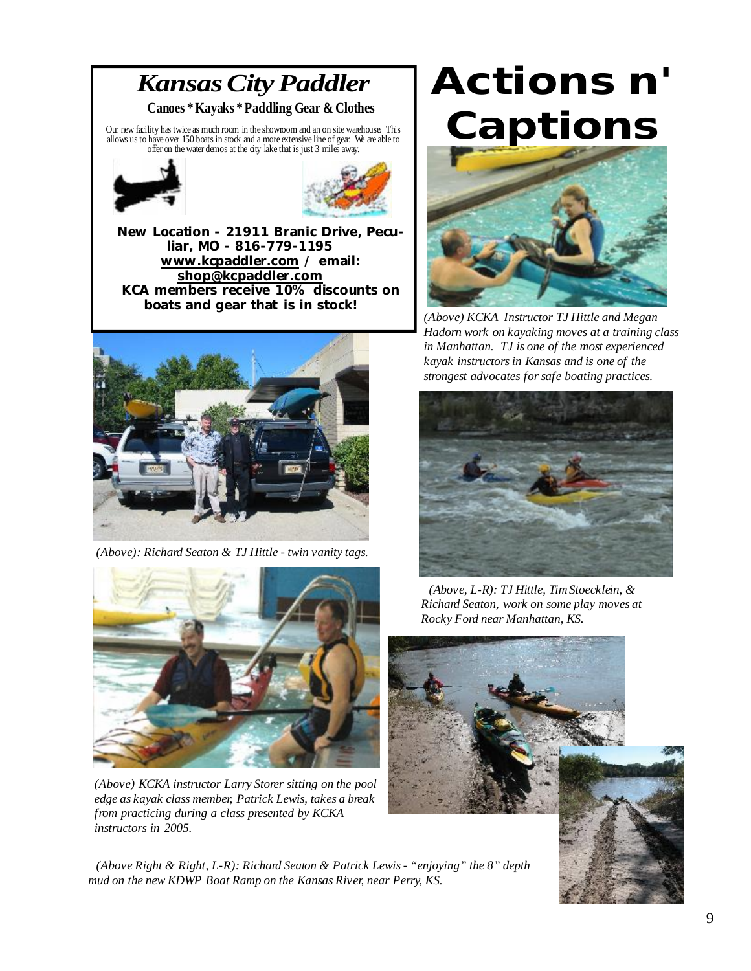## *Kansas City Paddler* **Canoes \* Kayaks \* Paddling Gear & Clothes**

Our new facility has twice as much room in the showroom and an on site warehouse. This allows us to have over 150 boats in stock and a more extensive line of gear. We are able to offer on the water demos at the city lake that is just 3 miles away.





**New Location - 21911 Branic Drive, Peculiar, MO - 816-779-1195 [www.kcpaddler.com](http://www.kcpaddler.com) / email: [shop@kcpaddler.com](mailto:shop@kcpaddler.com) KCA members receive 10% discounts on boats and gear that is in stock!**



 *(Above): Richard Seaton & TJ Hittle - twin vanity tags.*



*(Above) KCKA instructor Larry Storer sitting on the pool edge as kayak class member, Patrick Lewis, takes a break from practicing during a class presented by KCKA instructors in 2005.*

 *(Above Right & Right, L-R): Richard Seaton & Patrick Lewis - "enjoying" the 8" depth mud on the new KDWP Boat Ramp on the Kansas River, near Perry, KS.*

# *Actions n' Captions*



*(Above) KCKA Instructor TJ Hittle and Megan Hadorn work on kayaking moves at a training class in Manhattan. TJ is one of the most experienced kayak instructors in Kansas and is one of the strongest advocates for safe boating practices.*



 *(Above, L-R): TJ Hittle, Tim Stoecklein, & Richard Seaton, work on some play moves at Rocky Ford near Manhattan, KS.*

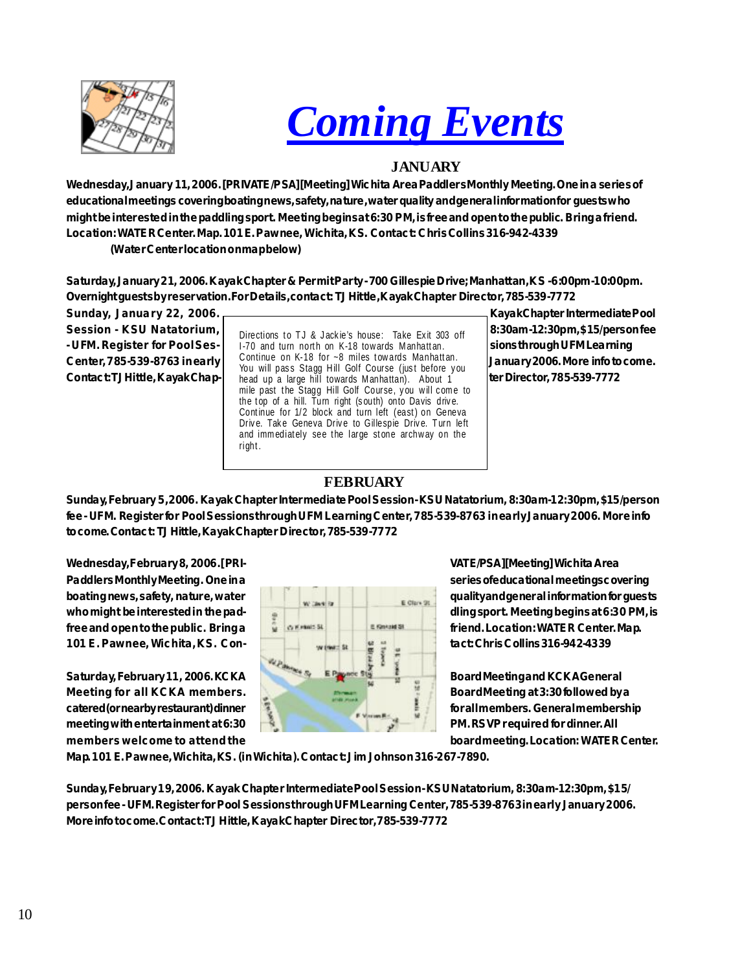



#### **JANUARY**

**Wednesday, January 11, 2006. [PRIVATE/PSA][Meeting] Wichita Area Paddlers Monthly Meeting. One in a series of educational meetings covering boating news, safety, nature, water quality and general information for guests who might be interested in the paddling sport. Meeting begins at 6:30 PM, is free and open to the public. Bring a friend. Location: WATER Center. Map. 101 E. Pawnee, Wichita, KS. Contact: Chris Collins 316-942-4339**

**(Water Center location on map below)**

**Saturday, January 21, 2006. Kayak Chapter & Permit Party - 700 Gillespie Drive; Manhattan, KS - 6:00pm-10:00pm. Overnight guests by reservation. For Details, contact: TJ Hittle, Kayak Chapter Director, 785-539-7772**

Session - KSU Natatorium, **Biography of the Little Lackin's house:** Take Evit 203 off 8:30am-12:30pm, \$15/person fee LUFM. Register for Pool Ses- | 1-70 and turn north on K-18 towards Manhattan. | sions through UFM Learning **Center, 785-539-8763 in early January 2006. More info to come.** Contact: TJ Hittle, Kayak Chap- **bead up a large hill towards Manhattan**). About 1 **bead to the Director, 785-539-7772** Directions to TJ & Jackie's house: Take Exit 303 off Continue on K-18 for  $\sim$ 8 miles towards Manhattan. You will pass Stagg Hill Golf Course (just before you mile past the Stagg Hill Golf Course, you will come to the top of a hill. Turn right (south) onto Davis drive. Continue for 1/2 block and turn left (east) on Geneva Drive. Take Geneva Drive to Gillespie Drive. Turn left and immediately see the large stone archway on the right .

Sunday, January 22, 2006. **Kayak Chapter Intermediate Pool** 

### **FEBRUARY**

**Sunday, February 5, 2006. Kayak Chapter Intermediate Pool Session - KSU Natatorium, 8:30am-12:30pm, \$15/person fee - UFM. Register for Pool Sessions through UFM Learning Center, 785-539-8763 in early January 2006. More info to come. Contact: TJ Hittle, Kayak Chapter Director, 785-539-7772**



**Paddlers Monthly Meeting. One in a series of educational meetings covering boating news, safety, nature, water quality and general information for guests** who might be interested in the pad-<br> **and individually properties and individually properties and individually properties and individually properties and individually properties and individually properties and individually** 

**catered (or nearby restaurant) dinner for all members. General membership members welcome to attend the board meeting. Location: WATER Center.**

**Map. 101 E. Pawnee, Wichita, KS. (in Wichita). Contact: Jim Johnson 316-267-7890.**

**Sunday, February 19, 2006. Kayak Chapter Intermediate Pool Session - KSU Natatorium, 8:30am-12:30pm, \$15/ person fee - UFM. Register for Pool Sessions through UFM Learning Center, 785-539-8763 in early January 2006. More info to come. Contact: TJ Hittle, Kayak Chapter Director, 785-539-7772**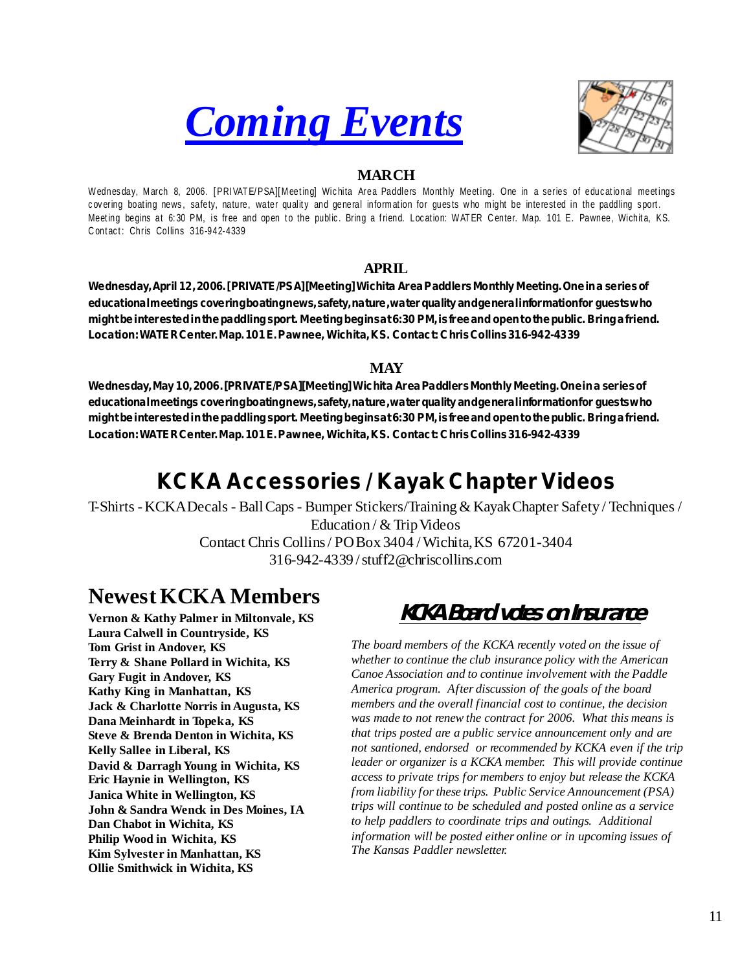



### **MARCH**

Wednesday, March 8, 2006. [PRIVATE/PSA][Meeting] Wichita Area Paddlers Monthly Meeting. One in a series of educational meetings covering boating news, safety, nature, water quality and general information for guests who might be interested in the paddling sport. Meeting begins at 6:30 PM, is free and open to the public. Bring a friend. Location: WATER Center. Map. 101 E. Pawnee, Wichita, KS. Contact: Chris Collins 316-942-4339

#### **APRIL**

**Wednesday, April 12, 2006. [PRIVATE/PSA][Meeting] Wichita Area Paddlers Monthly Meeting. One in a series of educational meetings covering boating news, safety, nature, water quality and general information for guests who might be interested in the paddling sport. Meeting begins at 6:30 PM, is free and open to the public. Bring a friend. Location: WATER Center. Map. 101 E. Pawnee, Wichita, KS. Contact: Chris Collins 316-942-4339**

#### **MAY**

**Wednesday, May 10, 2006. [PRIVATE/PSA][Meeting] Wichita Area Paddlers Monthly Meeting. One in a series of educational meetings covering boating news, safety, nature, water quality and general information for guests who might be interested in the paddling sport. Meeting begins at 6:30 PM, is free and open to the public. Bring a friend. Location: WATER Center. Map. 101 E. Pawnee, Wichita, KS. Contact: Chris Collins 316-942-4339**

## **KCKA Accessories / Kayak Chapter Videos**

T-Shirts - KCKA Decals - Ball Caps - Bumper Stickers/Training & Kayak Chapter Safety / Techniques / Education / & Trip Videos Contact Chris Collins / PO Box 3404 / Wichita, KS 67201-3404 316-942-4339 / [stuff2@chriscollins.com](mailto:stuff2@chriscollins.com)

## **Newest KCKA Members**

**Vernon & Kathy Palmer in Miltonvale, KS Laura Calwell in Countryside, KS Tom Grist in Andover, KS Terry & Shane Pollard in Wichita, KS Gary Fugit in Andover, KS Kathy King in Manhattan, KS Jack & Charlotte Norris in Augusta, KS Dana Meinhardt in Topeka, KS Steve & Brenda Denton in Wichita, KS Kelly Sallee in Liberal, KS David & Darragh Young in Wichita, KS Eric Haynie in Wellington, KS Janica White in Wellington, KS John & Sandra Wenck in Des Moines, IA Dan Chabot in Wichita, KS Philip Wood in Wichita, KS Kim Sylvester in Manhattan, KS Ollie Smithwick in Wichita, KS**

## **KCKA Board votes on Insurance**

*The board members of the KCKA recently voted on the issue of whether to continue the club insurance policy with the American Canoe Association and to continue involvement with the Paddle America program. After discussion of the goals of the board members and the overall financial cost to continue, the decision was made to not renew the contract for 2006. What this means is that trips posted are a public service announcement only and are not santioned, endorsed or recommended by KCKA even if the trip leader or organizer is a KCKA member. This will provide continue access to private trips for members to enjoy but release the KCKA from liability for these trips. Public Service Announcement (PSA) trips will continue to be scheduled and posted online as a service to help paddlers to coordinate trips and outings. Additional information will be posted either online or in upcoming issues of The Kansas Paddler newsletter.*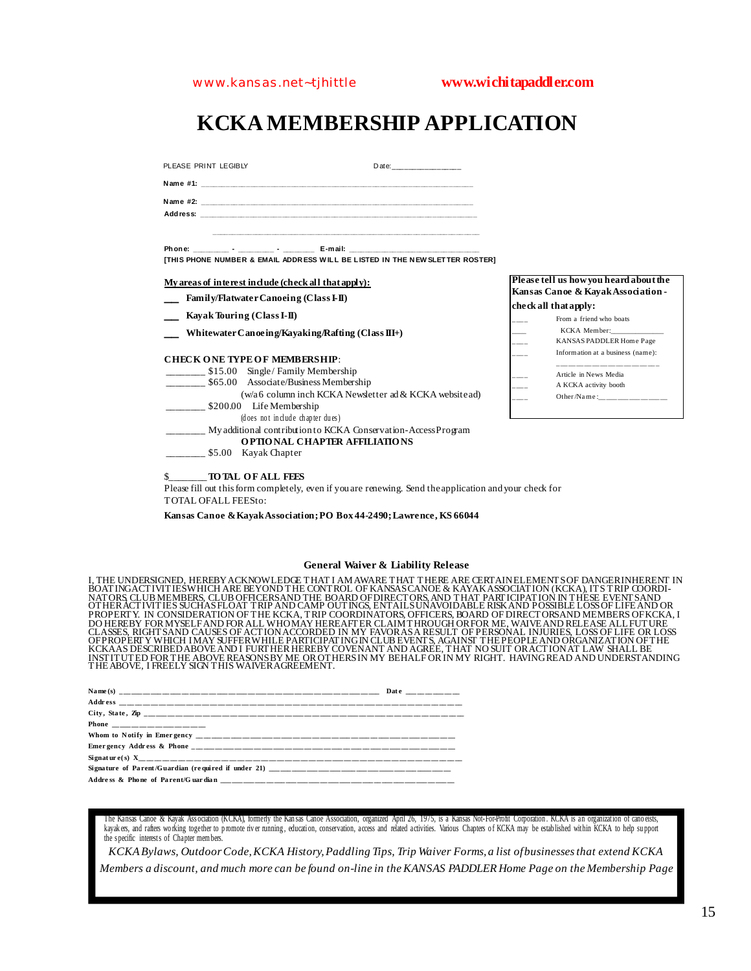## **KCKA MEMBERSHIP APPLICATION**

PLEASE PRINT LEGIBLY Date:

N ame #1: \_\_ **N ame #2: \_\_\_\_\_\_\_\_\_\_\_\_\_\_\_\_\_\_\_\_\_\_\_\_\_\_\_\_\_\_\_\_\_\_\_\_\_\_\_\_\_\_\_\_\_\_\_\_\_\_\_\_\_\_\_\_\_\_\_\_\_\_\_\_\_\_\_ Address: \_\_\_\_\_\_\_\_\_\_\_\_\_\_\_\_\_\_\_\_\_\_\_\_\_\_\_\_\_\_\_\_\_\_\_\_\_\_\_\_\_\_\_\_\_\_\_\_\_\_\_\_\_\_\_\_\_\_\_\_\_\_\_\_\_\_\_\_**

 **\_\_\_\_\_\_\_\_\_\_\_\_\_\_\_\_\_\_\_\_\_\_\_\_\_\_\_\_\_\_\_\_\_\_\_\_\_\_\_\_\_\_\_\_\_\_\_\_\_\_\_\_\_\_\_\_\_\_\_\_\_\_\_\_\_\_\_\_**

**Ph one: \_\_\_\_\_\_\_\_\_ - \_\_\_\_\_\_\_\_\_ - \_\_\_\_\_\_\_\_ E-mail: \_\_\_\_\_\_\_\_\_\_\_\_\_\_\_\_\_\_\_\_\_\_\_\_\_\_\_\_\_\_\_\_\_ [THIS PHONE NUMBER & EMAIL ADDR ESS W ILL BE LISTED IN THE N EW SLETTER ROSTER]**

**My areas of interest include (check all that apply):**

- **\_\_ Family/Flatwater Canoeing (Class I-II)**
- **\_\_ Kayak Touring (Class I-II)**
- **\_\_ Whitewater Canoeing/Kayaking/Rafting (Class III+)**

#### **CHECK O NE TYPE O F MEMBERSHIP**:

\_\_\_\_\_ \$15.00 Single/ Family Membership \_\_\_\_\_ \$65.00 Associate/Business Membership (w/a 6 column inch KCKA Newsletter ad & KCKA website ad) \_\_\_\_\_\_\_ \$200.00 Life Membership (does not include chapter dues) \_\_\_\_\_\_\_\_ My additional contribution to KCKA Conservation-Access Program

- **O PTIO NAL CHAPTER AFFILIATIO NS**
- \_ \$5.00 Kayak Chapter
- \$\_\_\_\_\_\_\_\_**TO TAL O F ALL FEES**

Please fill out this form completely, even if you are renewing. Send the application and your check for TOTAL OFALL FEESto:

**Kansas Canoe & Kayak Association; PO Box 44-2490; Lawrence, KS 66044**

#### **General Waiver & Liability Release**

I, THE UNDERSIGNED, HEREBY ACKNOWLEDGE THAT I AM AWARE THAT THERE ARE CERTAINELEMENTS OF DANGERINHERENT IN<br>BOATING ACTIVITIES WHICH ARE BEYOND THE CONTROL OF KANSAS CANOE & KAYAK ASSOCIATION (KCKA), ITS TRIP COORDI-<br>NATORS PROPERT Y. IN CONSIDERATION OF THE KCKA, TRIP COORDINATORS, OFFICERS, BOARD OF DIRECTORSAND MEMBERS OFKCKA, I<br>DO HEREBY FOR MYSELFAND FOR ALL WHOMAY HEREAFTER CLAIM THROUGH ORFOR ME, WAIVE AND RELEASE ALL FUTURE<br>CLASSES, R

The Kansas Canoe & Kayak Ass ociation (KCKA), formerly the Kan sas Canoe Association, organized April 26, 1975, is a Kansas Not-For-Profit Corporation . KCKA is an organizat ion of cano eists, kayak ers, and rafters working together to promote river running, education, conservation, access and related activities. Various Chapters of KCKA may be estab lished wit hin KCKA to help su pport the s pecific interests of Chapter mem bers.

*KCKA Bylaws, Outdoor Code, KCKA History, Paddling Tips, Trip Waiver Forms, a list of businesses that extend KCKA Members a discount, and much more can be found on-line in the KANSAS PADDLER Home Page on the Membership Page*

| Please tell us how you heard about the<br>Kansas Canoe & Kayak Association -<br>check all that apply: |                                   |
|-------------------------------------------------------------------------------------------------------|-----------------------------------|
|                                                                                                       |                                   |
|                                                                                                       | KCKA Member:                      |
|                                                                                                       | KANSAS PADDLER Home Page          |
|                                                                                                       | Information at a business (name): |
|                                                                                                       | Article in News Media             |
|                                                                                                       | A KCKA activity booth             |
|                                                                                                       | Other/Name: ______________        |